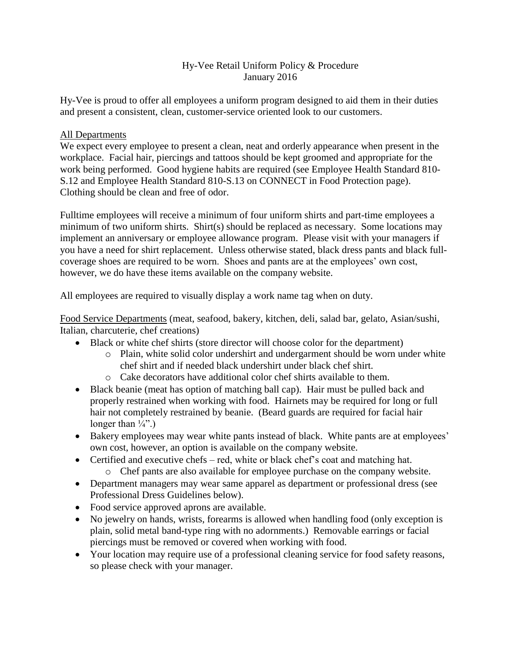### Hy-Vee Retail Uniform Policy & Procedure January 2016

Hy-Vee is proud to offer all employees a uniform program designed to aid them in their duties and present a consistent, clean, customer-service oriented look to our customers.

#### All Departments

We expect every employee to present a clean, neat and orderly appearance when present in the workplace. Facial hair, piercings and tattoos should be kept groomed and appropriate for the work being performed. Good hygiene habits are required (see Employee Health Standard 810- S.12 and Employee Health Standard 810-S.13 on CONNECT in Food Protection page). Clothing should be clean and free of odor.

Fulltime employees will receive a minimum of four uniform shirts and part-time employees a minimum of two uniform shirts. Shirt(s) should be replaced as necessary. Some locations may implement an anniversary or employee allowance program. Please visit with your managers if you have a need for shirt replacement. Unless otherwise stated, black dress pants and black fullcoverage shoes are required to be worn. Shoes and pants are at the employees' own cost, however, we do have these items available on the company website.

All employees are required to visually display a work name tag when on duty.

Food Service Departments (meat, seafood, bakery, kitchen, deli, salad bar, gelato, Asian/sushi, Italian, charcuterie, chef creations)

- Black or white chef shirts (store director will choose color for the department)
	- o Plain, white solid color undershirt and undergarment should be worn under white chef shirt and if needed black undershirt under black chef shirt.
	- o Cake decorators have additional color chef shirts available to them.
- Black beanie (meat has option of matching ball cap). Hair must be pulled back and properly restrained when working with food. Hairnets may be required for long or full hair not completely restrained by beanie. (Beard guards are required for facial hair longer than  $\frac{1}{4}$ .
- Bakery employees may wear white pants instead of black. White pants are at employees' own cost, however, an option is available on the company website.
- Certified and executive chefs red, white or black chef's coat and matching hat.
	- o Chef pants are also available for employee purchase on the company website.
- Department managers may wear same apparel as department or professional dress (see Professional Dress Guidelines below).
- Food service approved aprons are available.
- No jewelry on hands, wrists, forearms is allowed when handling food (only exception is plain, solid metal band-type ring with no adornments.) Removable earrings or facial piercings must be removed or covered when working with food.
- Your location may require use of a professional cleaning service for food safety reasons, so please check with your manager.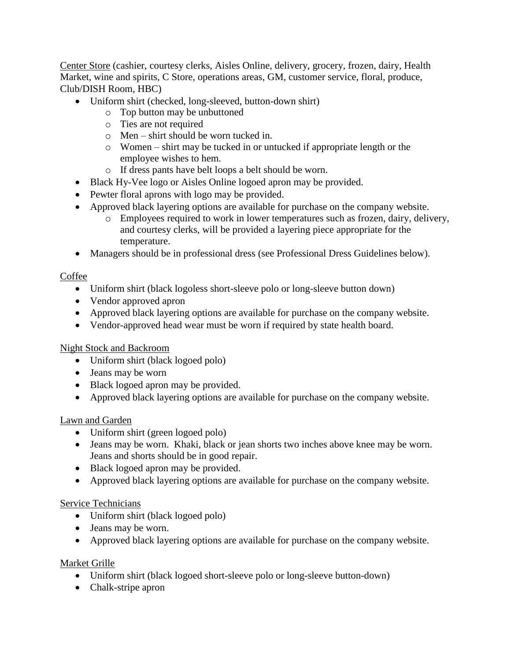Center Store (cashier, courtesy clerks, Aisles Online, delivery, grocery, frozen, dairy, Health Market, wine and spirits, C Store, operations areas, GM, customer service, floral, produce, Club/DISH Room, HBC)

- Uniform shirt (checked, long-sleeved, button-down shirt)
	- o Top button may be unbuttoned
	- o Ties are not required
	- o Men shirt should be worn tucked in.
	- o Women shirt may be tucked in or untucked if appropriate length or the employee wishes to hem.
	- o If dress pants have belt loops a belt should be worn.
- Black Hy-Vee logo or Aisles Online logoed apron may be provided.
- Pewter floral aprons with logo may be provided.
- Approved black layering options are available for purchase on the company website.
	- o Employees required to work in lower temperatures such as frozen, dairy, delivery, and courtesy clerks, will be provided a layering piece appropriate for the temperature.
- Managers should be in professional dress (see Professional Dress Guidelines below).

### **Coffee**

- Uniform shirt (black logoless short-sleeve polo or long-sleeve button down)
- Vendor approved apron
- Approved black layering options are available for purchase on the company website.
- Vendor-approved head wear must be worn if required by state health board.

### Night Stock and Backroom

- Uniform shirt (black logoed polo)
- Jeans may be worn
- Black logoed apron may be provided.
- Approved black layering options are available for purchase on the company website.

### Lawn and Garden

- Uniform shirt (green logoed polo)
- Jeans may be worn. Khaki, black or jean shorts two inches above knee may be worn. Jeans and shorts should be in good repair.
- Black logoed apron may be provided.
- Approved black layering options are available for purchase on the company website.

### Service Technicians

- Uniform shirt (black logoed polo)
- Jeans may be worn.
- Approved black layering options are available for purchase on the company website.

### Market Grille

- Uniform shirt (black logoed short-sleeve polo or long-sleeve button-down)
- Chalk-stripe apron